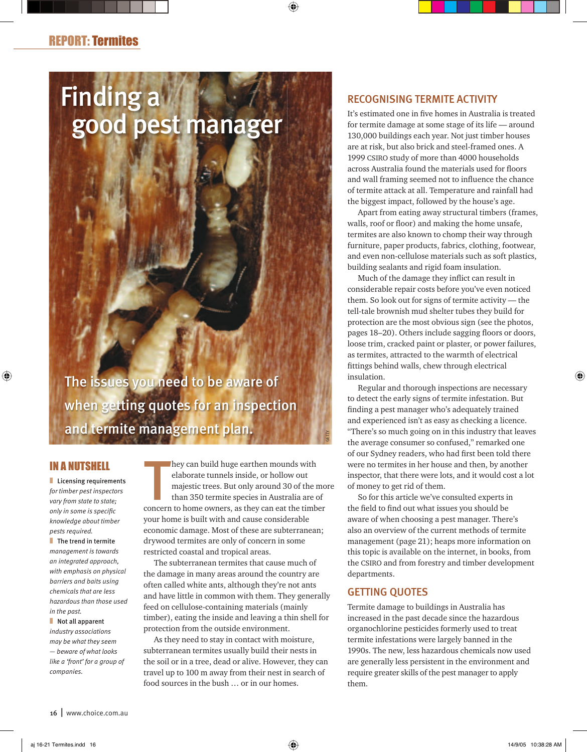# Finding a good pest manager

The issues you need to be aware of when getting quotes for an inspection and termite management plan.

# IN A NUTSHELL

**Licensing requirements** *for timber pest inspectors vary from state to state; only in some is specifi c knowledge about timber pests required.*

**■** The trend in termite *management is towards an integrated approach, with emphasis on physical barriers and baits using chemicals that are less hazardous than those used in the past.*

■ Not all apparent *industry associations may be what they seem — beware of what looks like a 'front' for a group of companies.*

hey can build huge earthen mounds with<br>elaborate tunnels inside, or hollow out<br>majestic trees. But only around 30 of the mo<br>than 350 termite species in Australia are of<br>concern to home owners, as they can eat the timber hey can build huge earthen mounds with elaborate tunnels inside, or hollow out majestic trees. But only around 30 of the more than 350 termite species in Australia are of your home is built with and cause considerable economic damage. Most of these are subterranean; drywood termites are only of concern in some restricted coastal and tropical areas.

The subterranean termites that cause much of the damage in many areas around the country are often called white ants, although they're not ants and have little in common with them. They generally feed on cellulose-containing materials (mainly timber), eating the inside and leaving a thin shell for protection from the outside environment.

As they need to stay in contact with moisture, subterranean termites usually build their nests in the soil or in a tree, dead or alive. However, they can travel up to 100 m away from their nest in search of food sources in the bush … or in our homes.

# RECOGNISING TERMITE ACTIVITY

It's estimated one in five homes in Australia is treated for termite damage at some stage of its life — around 130,000 buildings each year. Not just timber houses are at risk, but also brick and steel-framed ones. A 1999 CSIRO study of more than 4000 households across Australia found the materials used for floors and wall framing seemed not to influence the chance of termite attack at all. Temperature and rainfall had the biggest impact, followed by the house's age.

Apart from eating away structural timbers (frames, walls, roof or floor) and making the home unsafe, termites are also known to chomp their way through furniture, paper products, fabrics, clothing, footwear, and even non-cellulose materials such as soft plastics, building sealants and rigid foam insulation.

Much of the damage they inflict can result in considerable repair costs before you've even noticed them. So look out for signs of termite activity — the tell-tale brownish mud shelter tubes they build for protection are the most obvious sign (see the photos, pages 18–20). Others include sagging floors or doors, loose trim, cracked paint or plaster, or power failures, as termites, attracted to the warmth of electrical fittings behind walls, chew through electrical insulation.

Regular and thorough inspections are necessary to detect the early signs of termite infestation. But finding a pest manager who's adequately trained and experienced isn't as easy as checking a licence. "There's so much going on in this industry that leaves the average consumer so confused," remarked one of our Sydney readers, who had first been told there were no termites in her house and then, by another inspector, that there were lots, and it would cost a lot of money to get rid of them.

So for this article we've consulted experts in the field to find out what issues you should be aware of when choosing a pest manager. There's also an overview of the current methods of termite management (page 21); heaps more information on this topic is available on the internet, in books, from the CSIRO and from forestry and timber development departments.

#### GETTING QUOTES

GETTY

Termite damage to buildings in Australia has increased in the past decade since the hazardous organochlorine pesticides formerly used to treat termite infestations were largely banned in the 1990s. The new, less hazardous chemicals now used are generally less persistent in the environment and require greater skills of the pest manager to apply them.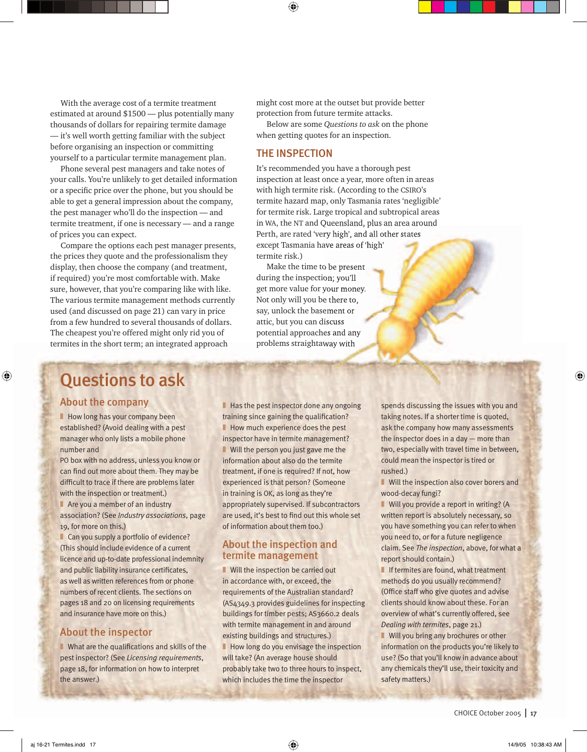With the average cost of a termite treatment estimated at around \$1500 — plus potentially many thousands of dollars for repairing termite damage — it's well worth getting familiar with the subject before organising an inspection or committing yourself to a particular termite management plan.

Phone several pest managers and take notes of your calls. You're unlikely to get detailed information or a specific price over the phone, but you should be able to get a general impression about the company, the pest manager who'll do the inspection — and termite treatment, if one is necessary — and a range of prices you can expect.

Compare the options each pest manager presents, the prices they quote and the professionalism they display, then choose the company (and treatment, if required) you're most comfortable with. Make sure, however, that you're comparing like with like. The various termite management methods currently used (and discussed on page 21) can vary in price from a few hundred to several thousands of dollars. The cheapest you're offered might only rid you of termites in the short term; an integrated approach

might cost more at the outset but provide better protection from future termite attacks.

Below are some *Questions to ask* on the phone when getting quotes for an inspection.

#### THE INSPECTION

It's recommended you have a thorough pest inspection at least once a year, more often in areas with high termite risk. (According to the CSIRO's termite hazard map, only Tasmania rates 'negligible' for termite risk. Large tropical and subtropical areas in WA, the NT and Queensland, plus an area around Perth, are rated 'very high', and all other states except Tasmania have areas of 'high' termite risk.)

Make the time to be present during the inspection; you'll get more value for your money. Not only will you be there to, say, unlock the basement or attic, but you can discuss potential approaches and any problems straightaway with

# Questions to ask

#### About the company

**Now long has your company been** established? (Avoid dealing with a pest manager who only lists a mobile phone number and

PO box with no address, unless you know or can find out more about them. They may be difficult to trace if there are problems later with the inspection or treatment.)  $\blacksquare$  Are you a member of an industry association? (See *Industry associations*, page

19, for more on this.)

■ Can you supply a portfolio of evidence? (This should include evidence of a current licence and up-to-date professional indemnity and public liability insurance certificates, as well as written references from or phone numbers of recent clients. The sections on pages 18 and 20 on licensing requirements and insurance have more on this.)

## About the inspector

 $\blacksquare$  What are the qualifications and skills of the pest inspector? (See *Licensing requirements*, page 18, for information on how to interpret the answer.)

■ Has the pest inspector done any ongoing training since gaining the qualification? ■ How much experience does the pest inspector have in termite management? ■ Will the person you just gave me the information about also do the termite treatment, if one is required? If not, how experienced is that person? (Someone in training is OK, as long as they're appropriately supervised. If subcontractors are used, it's best to find out this whole set of information about them too.)

## About the inspection and termite management

■ Will the inspection be carried out in accordance with, or exceed, the requirements of the Australian standard? (AS4349.3 provides guidelines for inspecting buildings for timber pests; AS3660.2 deals with termite management in and around existing buildings and structures.) ■ How long do you envisage the inspection will take? (An average house should probably take two to three hours to inspect, which includes the time the inspector

spends discussing the issues with you and taking notes. If a shorter time is quoted, ask the company how many assessments the inspector does in a day — more than two, especially with travel time in between, could mean the inspector is tired or rushed.)

■ Will the inspection also cover borers and wood-decay fungi?

■ Will you provide a report in writing? (A written report is absolutely necessary, so you have something you can refer to when you need to, or for a future negligence claim. See *The inspection*, above, for what a report should contain.)

■ If termites are found, what treatment methods do you usually recommend? (Office staff who give quotes and advise clients should know about these. For an overview of what's currently offered, see *Dealing with termites*, page 21.)

■ Will you bring any brochures or other information on the products you're likely to use? (So that you'll know in advance about any chemicals they'll use, their toxicity and safety matters.)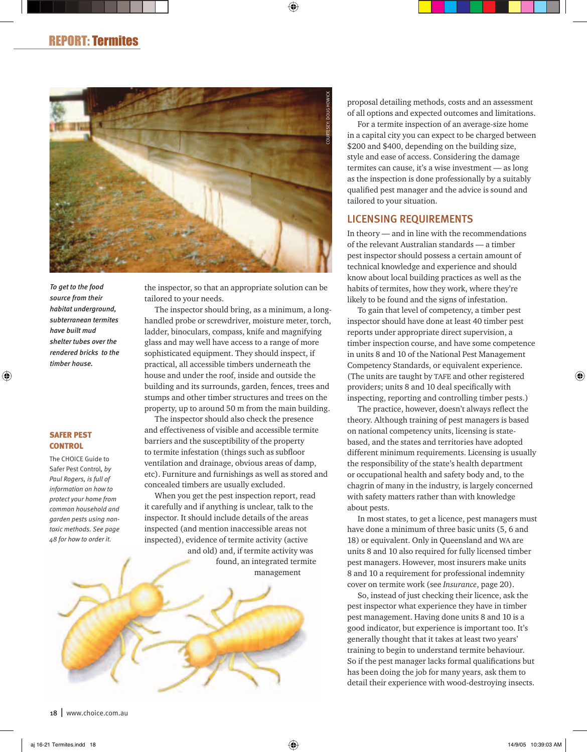

*To get to the food source from their habitat underground, subterranean termites have built mud shelter tubes over the rendered bricks to the timber house.*

#### SAFER PEST **CONTROL**

The CHOICE Guide to Safer Pest Control*, by Paul Rogers, is full of information on how to protect your home from common household and garden pests using nontoxic methods. See page 48 for how to order it.*

the inspector, so that an appropriate solution can be tailored to your needs.

The inspector should bring, as a minimum, a longhandled probe or screwdriver, moisture meter, torch, ladder, binoculars, compass, knife and magnifying glass and may well have access to a range of more sophisticated equipment. They should inspect, if practical, all accessible timbers underneath the house and under the roof, inside and outside the building and its surrounds, garden, fences, trees and stumps and other timber structures and trees on the property, up to around 50 m from the main building.

The inspector should also check the presence and effectiveness of visible and accessible termite barriers and the susceptibility of the property to termite infestation (things such as subfloor ventilation and drainage, obvious areas of damp, etc). Furniture and furnishings as well as stored and concealed timbers are usually excluded.

When you get the pest inspection report, read it carefully and if anything is unclear, talk to the inspector. It should include details of the areas inspected (and mention inaccessible areas not inspected), evidence of termite activity (active

and old) and, if termite activity was found, an integrated termite management



For a termite inspection of an average-size home in a capital city you can expect to be charged between \$200 and \$400, depending on the building size, style and ease of access. Considering the damage termites can cause, it's a wise investment — as long as the inspection is done professionally by a suitably qualified pest manager and the advice is sound and tailored to your situation.

#### LICENSING REQUIREMENTS

In theory — and in line with the recommendations of the relevant Australian standards — a timber pest inspector should possess a certain amount of technical knowledge and experience and should know about local building practices as well as the habits of termites, how they work, where they're likely to be found and the signs of infestation.

To gain that level of competency, a timber pest inspector should have done at least 40 timber pest reports under appropriate direct supervision, a timber inspection course, and have some competence in units 8 and 10 of the National Pest Management Competency Standards, or equivalent experience. (The units are taught by TAFE and other registered providers; units 8 and 10 deal specifically with inspecting, reporting and controlling timber pests.)

The practice, however, doesn't always reflect the theory. Although training of pest managers is based on national competency units, licensing is statebased, and the states and territories have adopted different minimum requirements. Licensing is usually the responsibility of the state's health department or occupational health and safety body and, to the chagrin of many in the industry, is largely concerned with safety matters rather than with knowledge about pests.

In most states, to get a licence, pest managers must have done a minimum of three basic units (5, 6 and 18) or equivalent. Only in Queensland and WA are units 8 and 10 also required for fully licensed timber pest managers. However, most insurers make units 8 and 10 a requirement for professional indemnity cover on termite work (see *Insurance*, page 20).

So, instead of just checking their licence, ask the pest inspector what experience they have in timber pest management. Having done units 8 and 10 is a good indicator, but experience is important too. It's generally thought that it takes at least two years' training to begin to understand termite behaviour. So if the pest manager lacks formal qualifications but has been doing the job for many years, ask them to detail their experience with wood-destroying insects.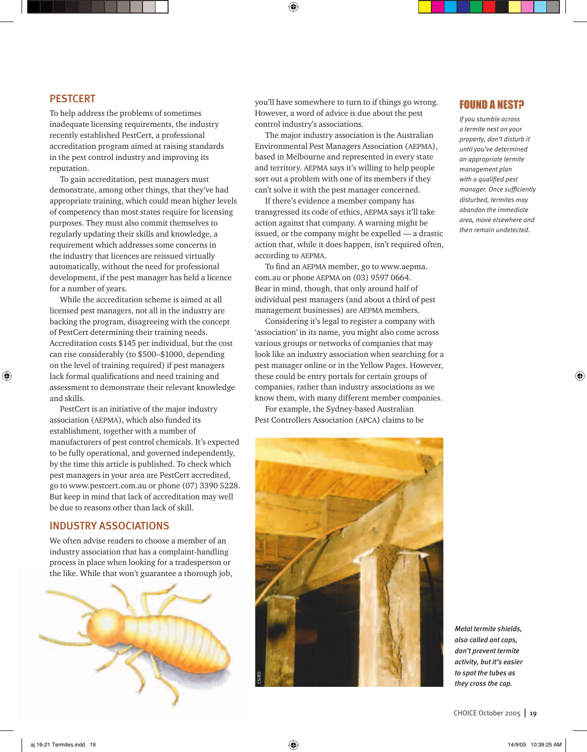#### **PESTCERT**

To help address the problems of sometimes inadequate licensing requirements, the industry recently established PestCert, a professional accreditation program aimed at raising standards in the pest control industry and improving its reputation.

To gain accreditation, pest managers must demonstrate, among other things, that they've had appropriate training, which could mean higher levels of competency than most states require for licensing purposes. They must also commit themselves to regularly updating their skills and knowledge, a requirement which addresses some concerns in the industry that licences are reissued virtually automatically, without the need for professional development, if the pest manager has held a licence for a number of years.

While the accreditation scheme is aimed at all licensed pest managers, not all in the industry are backing the program, disagreeing with the concept of PestCert determining their training needs. Accreditation costs \$145 per individual, but the cost can rise considerably (to \$500–\$1000, depending on the level of training required) if pest managers lack formal qualifications and need training and assessment to demonstrate their relevant knowledge and skills.

PestCert is an initiative of the major industry association (AEPMA), which also funded its establishment, together with a number of manufacturers of pest control chemicals. It's expected to be fully operational, and governed independently, by the time this article is published. To check which pest managers in your area are PestCert accredited, go to www.pestcert.com.au or phone (07) 3390 5228. But keep in mind that lack of accreditation may well be due to reasons other than lack of skill.

# INDUSTRY ASSOCIATIONS

We often advise readers to choose a member of an industry association that has a complaint-handling process in place when looking for a tradesperson or the like. While that won't guarantee a thorough job,



you'll have somewhere to turn to if things go wrong. However, a word of advice is due about the pest control industry's associations.

The major industry association is the Australian Environmental Pest Managers Association (AEPMA), based in Melbourne and represented in every state and territory. AEPMA says it's willing to help people sort out a problem with one of its members if they can't solve it with the pest manager concerned.

If there's evidence a member company has transgressed its code of ethics, AEPMA says it'll take action against that company. A warning might be issued, or the company might be expelled — a drastic action that, while it does happen, isn't required often, according to AEPMA.

To find an AEPMA member, go to www.aepma. com.au or phone AEPMA on (03) 9597 0664. Bear in mind, though, that only around half of individual pest managers (and about a third of pest management businesses) are AEPMA members.

Considering it's legal to register a company with 'association' in its name, you might also come across various groups or networks of companies that may look like an industry association when searching for a pest manager online or in the Yellow Pages. However, these could be entry portals for certain groups of companies, rather than industry associations as we know them, with many different member companies.

For example, the Sydney-based Australian Pest Controllers Association (APCA) claims to be



#### FOUND A NEST?

*If you stumble across a termite nest on your property, don't disturb it until you've determined an appropriate termite management plan*  with a qualified pest *manager. Once sufficiently disturbed, termites may abandon the immediate area, move elsewhere and then remain undetected.*

*Metal termite shields, also called ant caps, don't prevent termite activity, but it's easier to spot the tubes as they cross the cap.*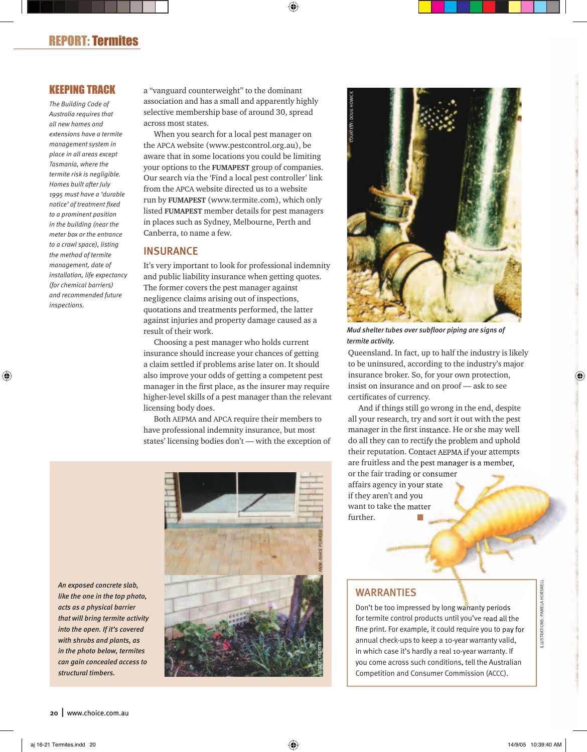# KEEPING TRACK

*The Building Code of Australia requires that all new homes and extensions have a termite management system in place in all areas except Tasmania, where the termite risk is negligible. Homes built after July 1995 must have a 'durable notice' of treatment fi xed to a prominent position in the building (near the meter box or the entrance to a crawl space), listing the method of termite management, date of installation, life expectancy (for chemical barriers) and recommended future inspections.* 

a "vanguard counterweight" to the dominant association and has a small and apparently highly selective membership base of around 30, spread across most states.

When you search for a local pest manager on the APCA website (www.pestcontrol.org.au), be aware that in some locations you could be limiting your options to the **FUMAPEST** group of companies. Our search via the 'Find a local pest controller' link from the APCA website directed us to a website run by **FUMAPEST** (www.termite.com), which only listed **FUMAPEST** member details for pest managers in places such as Sydney, Melbourne, Perth and Canberra, to name a few.

#### **INSURANCE**

It's very important to look for professional indemnity and public liability insurance when getting quotes. The former covers the pest manager against negligence claims arising out of inspections, quotations and treatments performed, the latter against injuries and property damage caused as a result of their work.

Choosing a pest manager who holds current insurance should increase your chances of getting a claim settled if problems arise later on. It should also improve your odds of getting a competent pest manager in the first place, as the insurer may require higher-level skills of a pest manager than the relevant licensing body does.

Both AEPMA and APCA require their members to have professional indemnity insurance, but most states' licensing bodies don't — with the exception of





*Mud shelter tubes over subfl oor piping are signs of termite activity.*

Queensland. In fact, up to half the industry is likely to be uninsured, according to the industry's major insurance broker. So, for your own protection, insist on insurance and on proof — ask to see certificates of currency.

And if things still go wrong in the end, despite all your research, try and sort it out with the pest manager in the first instance. He or she may well do all they can to rectify the problem and uphold their reputation. Contact AEPMA if your attempts are fruitless and the pest manager is a member, or the fair trading or consumer affairs agency in your state if they aren't and you

want to take the matter further.

## WARRANTIES

Don't be too impressed by long warranty periods for termite control products until you've read all the fine print. For example, it could require you to pay for annual check-ups to keep a 10-year warranty valid, in which case it's hardly a real 10-year warranty. If you come across such conditions, tell the Australian Competition and Consumer Commission (ACCC).

*An exposed concrete slab, like the one in the top photo, acts as a physical barrier that will bring termite activity into the open. If it's covered with shrubs and plants, as in the photo below, termites can gain concealed access to structural timbers.*